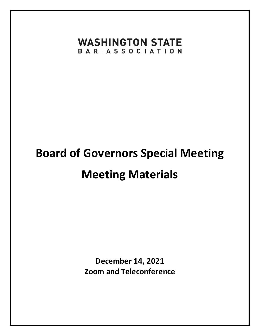## **WASHINGTON STATE** BAR ASSOCIATION

# **Board of Governors Special Meeting Meeting Materials**

**December 14, 2021 Zoom and Teleconference**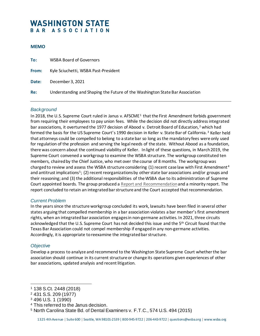### **WASHINGTON STATE** BAR ASSOCIATION

#### **MEMO**

| To:   | <b>WSBA Board of Governors</b>                                               |
|-------|------------------------------------------------------------------------------|
| From: | Kyle Sciuchetti, WSBA Past-President                                         |
| Date: | December 3, 2021                                                             |
| Re:   | Understanding and Shaping the Future of the Washington State Bar Association |

#### *Background*

In 20[1](#page-1-0)8, the U.S. Supreme Court ruled in Janus v. AFSCME<sup>1</sup> that the First Amendment forbids government from requiring their employees to pay union fees. While the decision did not directly address integrated bar associations, it overturned the 1977 decision of Abood v. Detroit Board of Education,<sup>[2](#page-1-1)</sup> which had formed the basis for the US Supreme Court's 1990 decision in Keller v. State Bar of California. [3](#page-1-2) Keller held that attorneys could be compelled to belong to a state bar so long as the mandatory fees were only used for regulation of the profession and serving the legal needs of the state. Without Abood as a foundation, there was concern about the continued viability of Keller. In light of these questions, in March 2019, the Supreme Court convened a workgroup to examine the WSBA structure. The workgroup constituted ten members, chaired by the Chief Justice, who met over the course of 8 months. The workgroup was charged to review and assess the WSBA structure considering (1) recent case law with First Amendment<sup>[4](#page-1-3)</sup> and antitrust implications<sup>[5](#page-1-4)</sup>; (2) recent reorganizations by other state bar associations and/or groups and their reasoning; and (3) the additional responsibilities of the WSBA due to its administration of Supreme Court appointed boards. The group produced a [Report and Recommendation](https://www.courts.wa.gov/content/publicUpload/Supreme%20Court%20Workgroup%20on%20WSBA%20Structure/FinalReportandRecommendationstotheCourtfromtheWorkGrouponBarStructure.pdf)and a minority report. The report concluded to retain an integrated bar structure and the Court accepted that recommendation.

#### *Current Problem*

In the years since the structure workgroup concluded its work, lawsuits have been filed in several other states arguing that compelled membership in a bar association violates a bar member's first amendment rights, when an integrated bar association engages in non-germane activities. In 2021, three circuits acknowledged that the U.S. Supreme Court has not decided this issue and the 5th Circuit found that the Texas Bar Association could not compel membership if engaged in any non-germane activities. Accordingly, it is appropriate to reexamine the integrated bar structure.

#### *Objective*

l

Develop a process to analyze and recommend to the Washington State Supreme Court whether the bar association should continue in its current structure or change its operations given experiences of other bar associations, updated analysis and recent litigation.

<span id="page-1-3"></span><sup>4</sup> This referred to the Janus decision.

<span id="page-1-0"></span><sup>1</sup> 138 S.Ct. 2448 (2018)

<span id="page-1-1"></span><sup>2</sup> 431 S.S. 209 (1977)

<span id="page-1-2"></span><sup>3</sup> 496 U.S. 1 (1990)

<span id="page-1-4"></span><sup>5</sup> North Carolina State Bd. of Dental Examiners v. F.T.C., 574 U.S. 494 (2015)